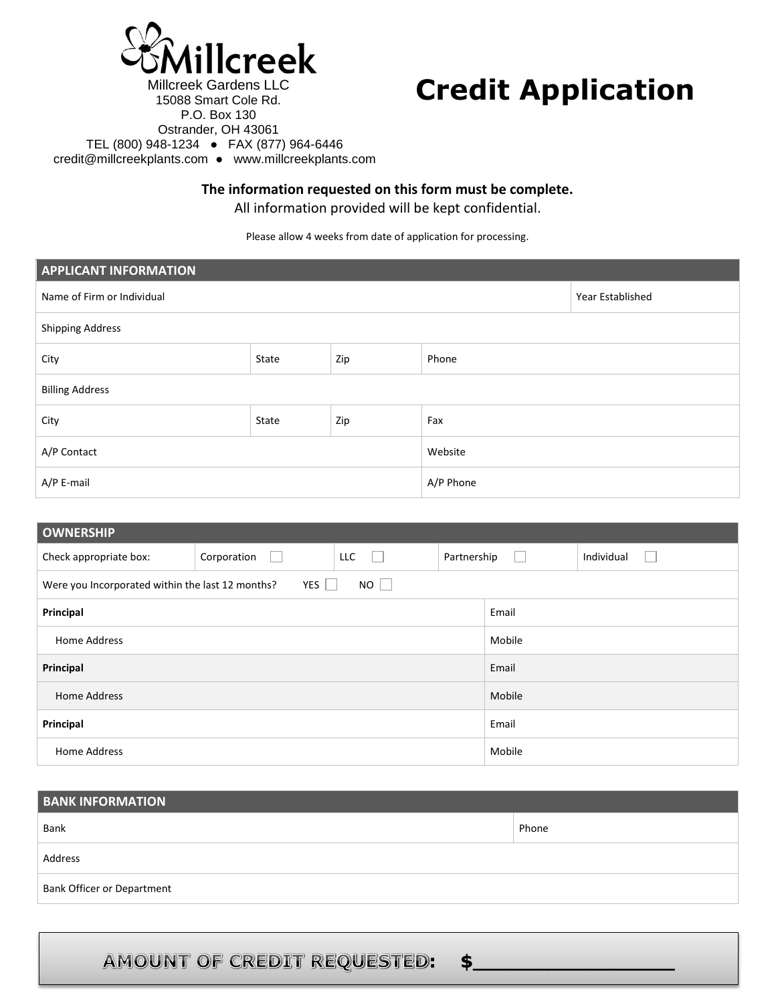

15088 Smart Cole Rd.

## **Credit Application**

P.O. Box 130 Ostrander, OH 43061 TEL (800) 948-1234 ● FAX (877) 964-6446 credit@millcreekplants.com ● [www.millcreekplants.com](http://www.millcreekplants.com/) 

**The information requested on this form must be complete.** 

All information provided will be kept confidential.

Please allow 4 weeks from date of application for processing.

| <b>APPLICANT INFORMATION</b> |       |     |           |                  |  |
|------------------------------|-------|-----|-----------|------------------|--|
| Name of Firm or Individual   |       |     |           | Year Established |  |
| Shipping Address             |       |     |           |                  |  |
| City                         | State | Zip | Phone     |                  |  |
| <b>Billing Address</b>       |       |     |           |                  |  |
| City                         | State | Zip | Fax       |                  |  |
| A/P Contact                  |       |     | Website   |                  |  |
| A/P E-mail                   |       |     | A/P Phone |                  |  |

| <b>OWNERSHIP</b>                                                    |                  |            |             |        |            |
|---------------------------------------------------------------------|------------------|------------|-------------|--------|------------|
| Check appropriate box:                                              | Corporation<br>L | <b>LLC</b> | Partnership | $\Box$ | Individual |
| YES<br>$NO$    <br>Were you Incorporated within the last 12 months? |                  |            |             |        |            |
| Principal                                                           |                  |            |             | Email  |            |
| Home Address                                                        |                  |            | Mobile      |        |            |
| Principal                                                           |                  |            | Email       |        |            |
| <b>Home Address</b>                                                 |                  |            |             | Mobile |            |
| Principal                                                           |                  |            |             | Email  |            |
| Home Address                                                        |                  | Mobile     |             |        |            |

| <b>BANK INFORMATION</b>           |       |  |  |  |
|-----------------------------------|-------|--|--|--|
| Bank                              | Phone |  |  |  |
| Address                           |       |  |  |  |
| <b>Bank Officer or Department</b> |       |  |  |  |

**: \$\_\_\_\_\_\_\_\_\_\_\_\_\_\_\_\_**